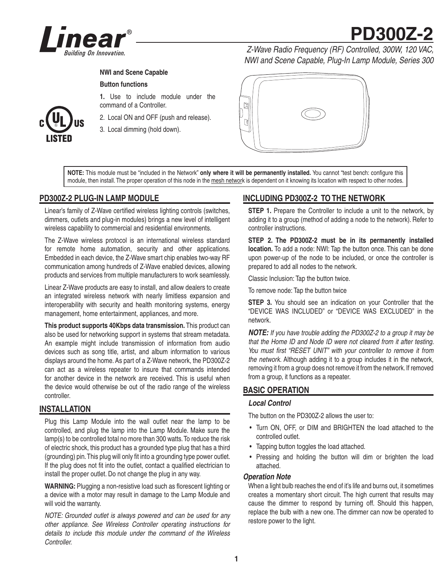

# **PD300Z-2**

## **NWI and Scene Capable**

## **Button functions**

**1.** Use to include module under the command of a Controller.

2. Local ON and OFF (push and release).

3. Local dimming (hold down).

*Z-Wave Radio Frequency (RF) Controlled, 300W, 120 VAC, NWI and Scene Capable, Plug-In Lamp Module, Series 300*



NOTE: This module must be "included in the Network" only where it will be permanently installed. You cannot "test bench: configure this module, then install. The proper operation of this node in the mesh network is dependent on it knowing its location with respect to other nodes.

# **PD300Z-2 PLUG-IN LAMP MODULE**

Linear's family of Z-Wave certified wireless lighting controls (switches, dimmers, outlets and plug-in modules) brings a new level of intelligent wireless capability to commercial and residential environments.

The Z-Wave wireless protocol is an international wireless standard for remote home automation, security and other applications. Embedded in each device, the Z-Wave smart chip enables two-way RF communication among hundreds of Z-Wave enabled devices, allowing products and services from multiple manufacturers to work seamlessly.

Linear Z-Wave products are easy to install, and allow dealers to create an integrated wireless network with nearly limitless expansion and interoperability with security and health monitoring systems, energy management, home entertainment, appliances, and more.

**This product supports 40Kbps data transmission.** This product can also be used for networking support in systems that stream metadata. An example might include transmission of information from audio devices such as song title, artist, and album information to various displays around the home. As part of a Z-Wave network, the PD300Z-2 can act as a wireless repeater to insure that commands intended for another device in the network are received. This is useful when the device would otherwise be out of the radio range of the wireless controller.

## **INSTALLATION**

Plug this Lamp Module into the wall outlet near the lamp to be controlled, and plug the lamp into the Lamp Module. Make sure the lamp(s) to be controlled total no more than 300 watts. To reduce the risk of electric shock, this product has a grounded type plug that has a third (grounding) pin. This plug will only fit into a grounding type power outlet. If the plug does not fit into the outlet, contact a qualified electrician to install the proper outlet. Do not change the plug in any way.

**WARNING:** Plugging a non-resistive load such as florescent lighting or a device with a motor may result in damage to the Lamp Module and will void the warranty.

*NOTE: Grounded outlet is always powered and can be used for any other appliance. See Wireless Controller operating instructions for details to include this module under the command of the Wireless Controller.*

# **INCLUDING PD300Z-2 TO THE NETWORK**

**STEP 1.** Prepare the Controller to include a unit to the network, by adding it to a group (method of adding a node to the network). Refer to controller instructions.

**STEP 2. The PD300Z-2 must be in its permanently installed location.** To add a node: NWI: Tap the button once. This can be done upon power-up of the node to be included, or once the controller is prepared to add all nodes to the network.

Classic Inclusion: Tap the button twice.

To remove node: Tap the button twice

**STEP 3.** You should see an indication on your Controller that the "DEVICE WAS INCLUDED" or "DEVICE WAS EXCLUDED" in the network.

*NOTE: If you have trouble adding the PD300Z-2 to a group it may be that the Home ID and Node ID were not cleared from it after testing.*  You must first "RESET UNIT" with your controller to remove it from *the network.* Although adding it to a group includes it in the network, removing it from a group does not remove it from the network. If removed from a group, it functions as a repeater.

# **BASIC OPERATION**

### *Local Control*

The button on the PD300Z-2 allows the user to:

- Turn ON, OFF, or DIM and BRIGHTEN the load attached to the controlled outlet.
- Tapping button toggles the load attached.
- Pressing and holding the button will dim or brighten the load attached.

## *Operation Note*

When a light bulb reaches the end of it's life and burns out, it sometimes creates a momentary short circuit. The high current that results may cause the dimmer to respond by turning off. Should this happen, replace the bulb with a new one. The dimmer can now be operated to restore power to the light.